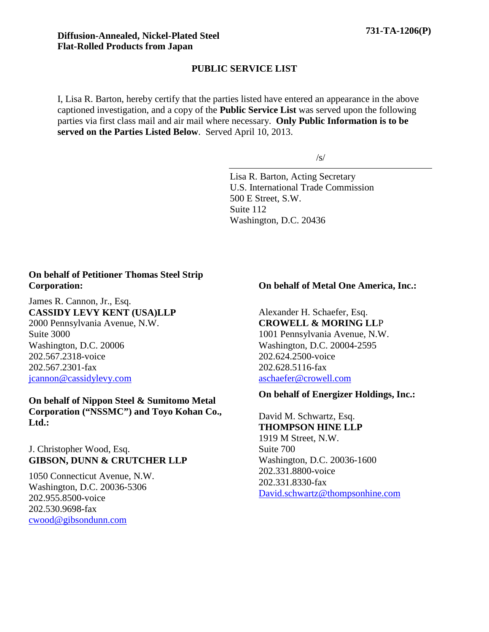#### **PUBLIC SERVICE LIST**

I, Lisa R. Barton, hereby certify that the parties listed have entered an appearance in the above captioned investigation, and a copy of the **Public Service List** was served upon the following parties via first class mail and air mail where necessary. **Only Public Information is to be served on the Parties Listed Below**. Served April 10, 2013.

/s/

Lisa R. Barton, Acting Secretary U.S. International Trade Commission 500 E Street, S.W. Suite 112 Washington, D.C. 20436

### **On behalf of Petitioner Thomas Steel Strip Corporation:**

James R. Cannon, Jr., Esq. **CASSIDY LEVY KENT (USA)LLP** 2000 Pennsylvania Avenue, N.W. Suite 3000 Washington, D.C. 20006 202.567.2318-voice 202.567.2301-fax jcannon@cassidylevy.com

**On behalf of Nippon Steel & Sumitomo Metal Corporation ("NSSMC") and Toyo Kohan Co., Ltd.:**

# J. Christopher Wood, Esq. **GIBSON, DUNN & CRUTCHER LLP**

1050 Connecticut Avenue, N.W. Washington, D.C. 20036-5306 202.955.8500-voice 202.530.9698-fax cwood@gibsondunn.com

### **On behalf of Metal One America, Inc.:**

Alexander H. Schaefer, Esq. **CROWELL & MORING LL**P 1001 Pennsylvania Avenue, N.W. Washington, D.C. 20004-2595 202.624.2500-voice 202.628.5116-fax aschaefer@crowell.com

#### **On behalf of Energizer Holdings, Inc.:**

David M. Schwartz, Esq. **THOMPSON HINE LLP** 1919 M Street, N.W. Suite 700 Washington, D.C. 20036-1600 202.331.8800-voice 202.331.8330-fax David.schwartz@thompsonhine.com